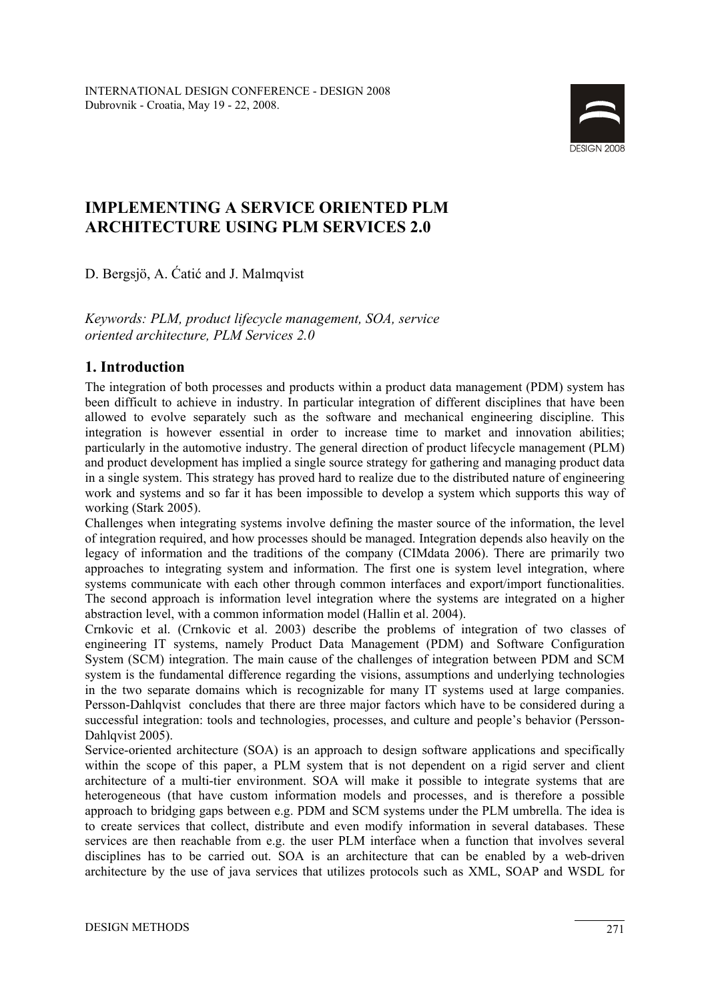

# **IMPLEMENTING A SERVICE ORIENTED PLM ARCHITECTURE USING PLM SERVICES 2.0**

D. Bergsjö, A. Ćatić and J. Malmqvist

*Keywords: PLM, product lifecycle management, SOA, service oriented architecture, PLM Services 2.0* 

# **1. Introduction**

The integration of both processes and products within a product data management (PDM) system has been difficult to achieve in industry. In particular integration of different disciplines that have been allowed to evolve separately such as the software and mechanical engineering discipline. This integration is however essential in order to increase time to market and innovation abilities; particularly in the automotive industry. The general direction of product lifecycle management (PLM) and product development has implied a single source strategy for gathering and managing product data in a single system. This strategy has proved hard to realize due to the distributed nature of engineering work and systems and so far it has been impossible to develop a system which supports this way of working (Stark 2005).

Challenges when integrating systems involve defining the master source of the information, the level of integration required, and how processes should be managed. Integration depends also heavily on the legacy of information and the traditions of the company (CIMdata 2006). There are primarily two approaches to integrating system and information. The first one is system level integration, where systems communicate with each other through common interfaces and export/import functionalities. The second approach is information level integration where the systems are integrated on a higher abstraction level, with a common information model (Hallin et al. 2004).

Crnkovic et al. (Crnkovic et al. 2003) describe the problems of integration of two classes of engineering IT systems, namely Product Data Management (PDM) and Software Configuration System (SCM) integration. The main cause of the challenges of integration between PDM and SCM system is the fundamental difference regarding the visions, assumptions and underlying technologies in the two separate domains which is recognizable for many IT systems used at large companies. Persson-Dahlqvist concludes that there are three major factors which have to be considered during a successful integration: tools and technologies, processes, and culture and people's behavior (Persson-Dahlqvist 2005).

Service-oriented architecture (SOA) is an approach to design software applications and specifically within the scope of this paper, a PLM system that is not dependent on a rigid server and client architecture of a multi-tier environment. SOA will make it possible to integrate systems that are heterogeneous (that have custom information models and processes, and is therefore a possible approach to bridging gaps between e.g. PDM and SCM systems under the PLM umbrella. The idea is to create services that collect, distribute and even modify information in several databases. These services are then reachable from e.g. the user PLM interface when a function that involves several disciplines has to be carried out. SOA is an architecture that can be enabled by a web-driven architecture by the use of java services that utilizes protocols such as XML, SOAP and WSDL for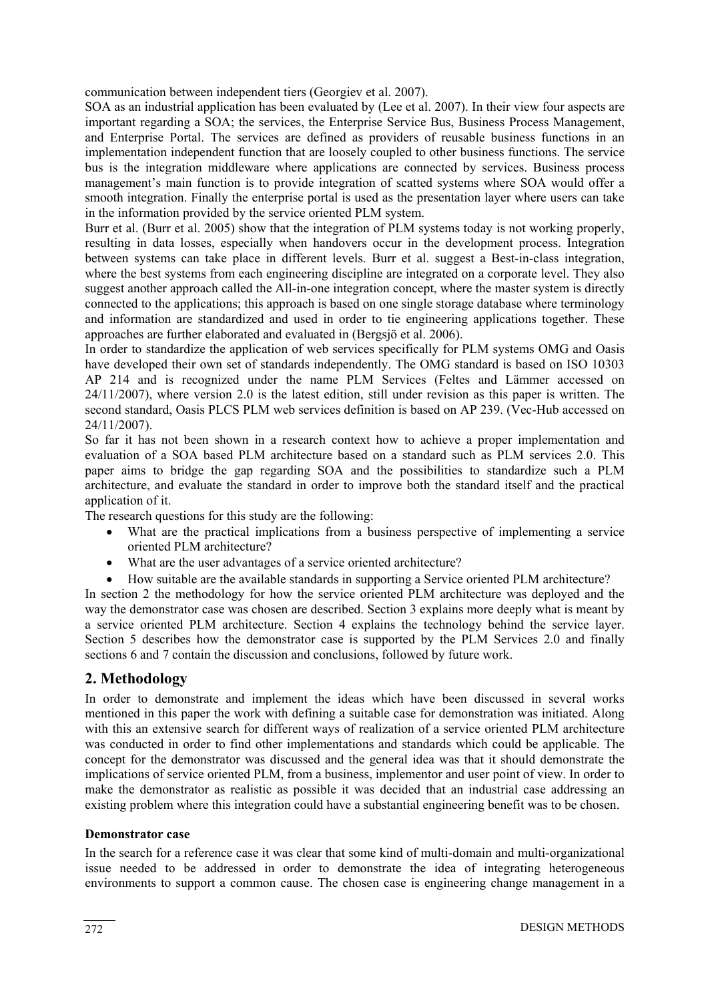communication between independent tiers (Georgiev et al. 2007).

SOA as an industrial application has been evaluated by (Lee et al. 2007). In their view four aspects are important regarding a SOA; the services, the Enterprise Service Bus, Business Process Management, and Enterprise Portal. The services are defined as providers of reusable business functions in an implementation independent function that are loosely coupled to other business functions. The service bus is the integration middleware where applications are connected by services. Business process management's main function is to provide integration of scatted systems where SOA would offer a smooth integration. Finally the enterprise portal is used as the presentation layer where users can take in the information provided by the service oriented PLM system.

Burr et al. (Burr et al. 2005) show that the integration of PLM systems today is not working properly, resulting in data losses, especially when handovers occur in the development process. Integration between systems can take place in different levels. Burr et al. suggest a Best-in-class integration, where the best systems from each engineering discipline are integrated on a corporate level. They also suggest another approach called the All-in-one integration concept, where the master system is directly connected to the applications; this approach is based on one single storage database where terminology and information are standardized and used in order to tie engineering applications together. These approaches are further elaborated and evaluated in (Bergsjö et al. 2006).

In order to standardize the application of web services specifically for PLM systems OMG and Oasis have developed their own set of standards independently. The OMG standard is based on ISO 10303 AP 214 and is recognized under the name PLM Services (Feltes and Lämmer accessed on 24/11/2007), where version 2.0 is the latest edition, still under revision as this paper is written. The second standard, Oasis PLCS PLM web services definition is based on AP 239. (Vec-Hub accessed on 24/11/2007).

So far it has not been shown in a research context how to achieve a proper implementation and evaluation of a SOA based PLM architecture based on a standard such as PLM services 2.0. This paper aims to bridge the gap regarding SOA and the possibilities to standardize such a PLM architecture, and evaluate the standard in order to improve both the standard itself and the practical application of it.

The research questions for this study are the following:

- What are the practical implications from a business perspective of implementing a service oriented PLM architecture?
- What are the user advantages of a service oriented architecture?
- How suitable are the available standards in supporting a Service oriented PLM architecture?

In section 2 the methodology for how the service oriented PLM architecture was deployed and the way the demonstrator case was chosen are described. Section 3 explains more deeply what is meant by a service oriented PLM architecture. Section 4 explains the technology behind the service layer. Section 5 describes how the demonstrator case is supported by the PLM Services 2.0 and finally sections 6 and 7 contain the discussion and conclusions, followed by future work.

#### **2. Methodology**

In order to demonstrate and implement the ideas which have been discussed in several works mentioned in this paper the work with defining a suitable case for demonstration was initiated. Along with this an extensive search for different ways of realization of a service oriented PLM architecture was conducted in order to find other implementations and standards which could be applicable. The concept for the demonstrator was discussed and the general idea was that it should demonstrate the implications of service oriented PLM, from a business, implementor and user point of view. In order to make the demonstrator as realistic as possible it was decided that an industrial case addressing an existing problem where this integration could have a substantial engineering benefit was to be chosen.

#### **Demonstrator case**

In the search for a reference case it was clear that some kind of multi-domain and multi-organizational issue needed to be addressed in order to demonstrate the idea of integrating heterogeneous environments to support a common cause. The chosen case is engineering change management in a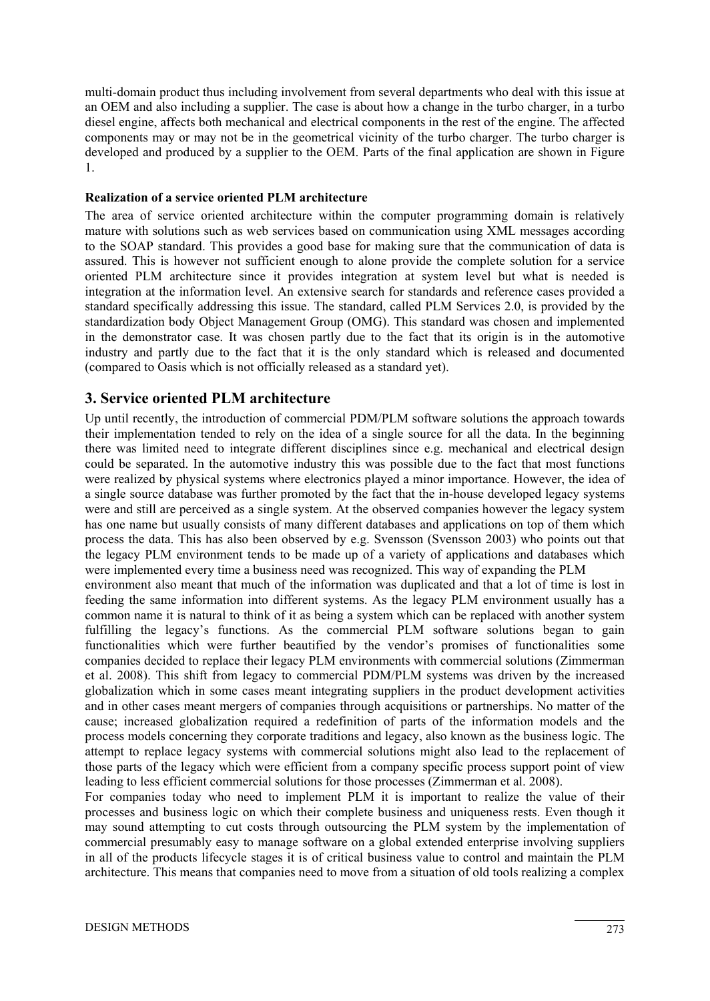multi-domain product thus including involvement from several departments who deal with this issue at an OEM and also including a supplier. The case is about how a change in the turbo charger, in a turbo diesel engine, affects both mechanical and electrical components in the rest of the engine. The affected components may or may not be in the geometrical vicinity of the turbo charger. The turbo charger is developed and produced by a supplier to the OEM. Parts of the final application are shown in Figure 1.

#### **Realization of a service oriented PLM architecture**

The area of service oriented architecture within the computer programming domain is relatively mature with solutions such as web services based on communication using XML messages according to the SOAP standard. This provides a good base for making sure that the communication of data is assured. This is however not sufficient enough to alone provide the complete solution for a service oriented PLM architecture since it provides integration at system level but what is needed is integration at the information level. An extensive search for standards and reference cases provided a standard specifically addressing this issue. The standard, called PLM Services 2.0, is provided by the standardization body Object Management Group (OMG). This standard was chosen and implemented in the demonstrator case. It was chosen partly due to the fact that its origin is in the automotive industry and partly due to the fact that it is the only standard which is released and documented (compared to Oasis which is not officially released as a standard yet).

## **3. Service oriented PLM architecture**

Up until recently, the introduction of commercial PDM/PLM software solutions the approach towards their implementation tended to rely on the idea of a single source for all the data. In the beginning there was limited need to integrate different disciplines since e.g. mechanical and electrical design could be separated. In the automotive industry this was possible due to the fact that most functions were realized by physical systems where electronics played a minor importance. However, the idea of a single source database was further promoted by the fact that the in-house developed legacy systems were and still are perceived as a single system. At the observed companies however the legacy system has one name but usually consists of many different databases and applications on top of them which process the data. This has also been observed by e.g. Svensson (Svensson 2003) who points out that the legacy PLM environment tends to be made up of a variety of applications and databases which were implemented every time a business need was recognized. This way of expanding the PLM environment also meant that much of the information was duplicated and that a lot of time is lost in feeding the same information into different systems. As the legacy PLM environment usually has a common name it is natural to think of it as being a system which can be replaced with another system fulfilling the legacy's functions. As the commercial PLM software solutions began to gain functionalities which were further beautified by the vendor's promises of functionalities some companies decided to replace their legacy PLM environments with commercial solutions (Zimmerman et al. 2008). This shift from legacy to commercial PDM/PLM systems was driven by the increased globalization which in some cases meant integrating suppliers in the product development activities

and in other cases meant mergers of companies through acquisitions or partnerships. No matter of the cause; increased globalization required a redefinition of parts of the information models and the process models concerning they corporate traditions and legacy, also known as the business logic. The attempt to replace legacy systems with commercial solutions might also lead to the replacement of those parts of the legacy which were efficient from a company specific process support point of view leading to less efficient commercial solutions for those processes (Zimmerman et al. 2008).

For companies today who need to implement PLM it is important to realize the value of their processes and business logic on which their complete business and uniqueness rests. Even though it may sound attempting to cut costs through outsourcing the PLM system by the implementation of commercial presumably easy to manage software on a global extended enterprise involving suppliers in all of the products lifecycle stages it is of critical business value to control and maintain the PLM architecture. This means that companies need to move from a situation of old tools realizing a complex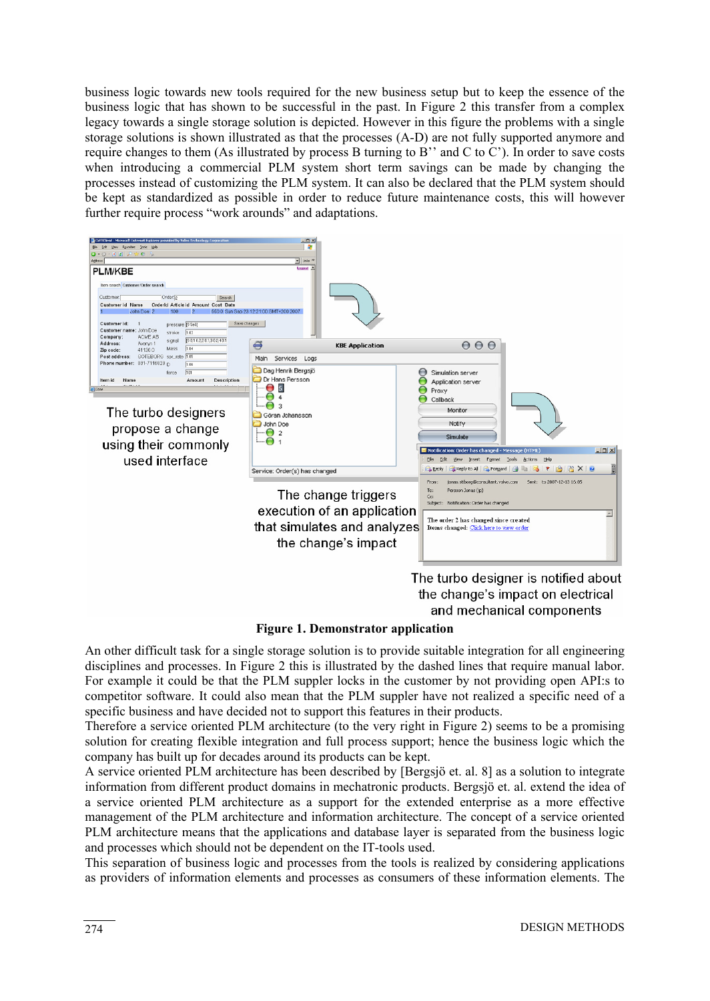business logic towards new tools required for the new business setup but to keep the essence of the business logic that has shown to be successful in the past. In Figure 2 this transfer from a complex legacy towards a single storage solution is depicted. However in this figure the problems with a single storage solutions is shown illustrated as that the processes (A-D) are not fully supported anymore and require changes to them (As illustrated by process B turning to B'' and C to C'). In order to save costs when introducing a commercial PLM system short term savings can be made by changing the processes instead of customizing the PLM system. It can also be declared that the PLM system should be kept as standardized as possible in order to reduce future maintenance costs, this will however further require process "work arounds" and adaptations.



the change's impact on electrical and mechanical components

**Figure 1. Demonstrator application** 

An other difficult task for a single storage solution is to provide suitable integration for all engineering disciplines and processes. In Figure 2 this is illustrated by the dashed lines that require manual labor. For example it could be that the PLM suppler locks in the customer by not providing open API:s to competitor software. It could also mean that the PLM suppler have not realized a specific need of a specific business and have decided not to support this features in their products.

Therefore a service oriented PLM architecture (to the very right in Figure 2) seems to be a promising solution for creating flexible integration and full process support; hence the business logic which the company has built up for decades around its products can be kept.

A service oriented PLM architecture has been described by [Bergsjö et. al. 8] as a solution to integrate information from different product domains in mechatronic products. Bergsjö et. al. extend the idea of a service oriented PLM architecture as a support for the extended enterprise as a more effective management of the PLM architecture and information architecture. The concept of a service oriented PLM architecture means that the applications and database layer is separated from the business logic and processes which should not be dependent on the IT-tools used.

This separation of business logic and processes from the tools is realized by considering applications as providers of information elements and processes as consumers of these information elements. The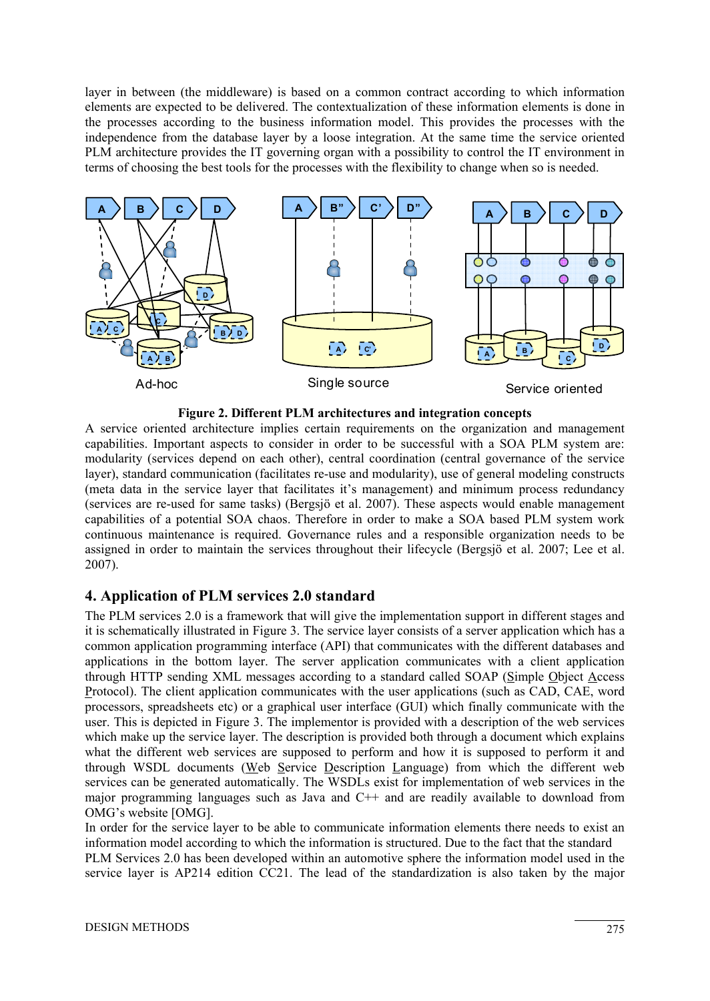layer in between (the middleware) is based on a common contract according to which information elements are expected to be delivered. The contextualization of these information elements is done in the processes according to the business information model. This provides the processes with the independence from the database layer by a loose integration. At the same time the service oriented PLM architecture provides the IT governing organ with a possibility to control the IT environment in terms of choosing the best tools for the processes with the flexibility to change when so is needed.



**Figure 2. Different PLM architectures and integration concepts**

A service oriented architecture implies certain requirements on the organization and management capabilities. Important aspects to consider in order to be successful with a SOA PLM system are: modularity (services depend on each other), central coordination (central governance of the service layer), standard communication (facilitates re-use and modularity), use of general modeling constructs (meta data in the service layer that facilitates it's management) and minimum process redundancy (services are re-used for same tasks) (Bergsjö et al. 2007). These aspects would enable management capabilities of a potential SOA chaos. Therefore in order to make a SOA based PLM system work continuous maintenance is required. Governance rules and a responsible organization needs to be assigned in order to maintain the services throughout their lifecycle (Bergsjö et al. 2007; Lee et al. 2007).

### **4. Application of PLM services 2.0 standard**

The PLM services 2.0 is a framework that will give the implementation support in different stages and it is schematically illustrated in Figure 3. The service layer consists of a server application which has a common application programming interface (API) that communicates with the different databases and applications in the bottom layer. The server application communicates with a client application through HTTP sending XML messages according to a standard called SOAP (Simple Object Access Protocol). The client application communicates with the user applications (such as CAD, CAE, word processors, spreadsheets etc) or a graphical user interface (GUI) which finally communicate with the user. This is depicted in Figure 3. The implementor is provided with a description of the web services which make up the service layer. The description is provided both through a document which explains what the different web services are supposed to perform and how it is supposed to perform it and through WSDL documents (Web Service Description Language) from which the different web services can be generated automatically. The WSDLs exist for implementation of web services in the major programming languages such as Java and C++ and are readily available to download from OMG's website [OMG].

In order for the service layer to be able to communicate information elements there needs to exist an information model according to which the information is structured. Due to the fact that the standard PLM Services 2.0 has been developed within an automotive sphere the information model used in the service layer is AP214 edition CC21. The lead of the standardization is also taken by the major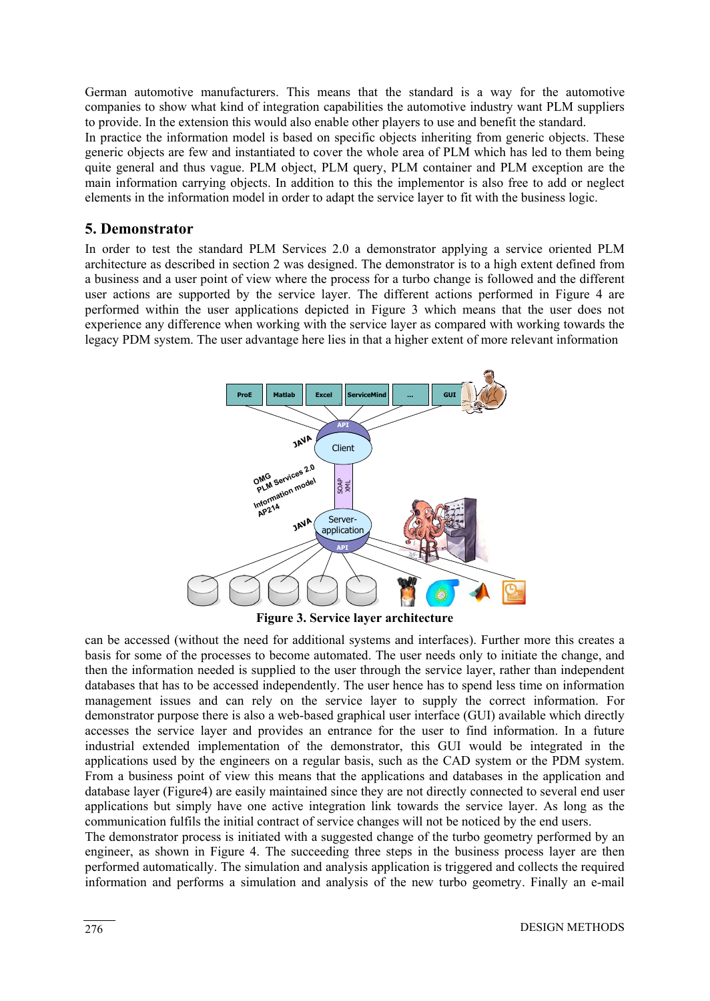German automotive manufacturers. This means that the standard is a way for the automotive companies to show what kind of integration capabilities the automotive industry want PLM suppliers to provide. In the extension this would also enable other players to use and benefit the standard. In practice the information model is based on specific objects inheriting from generic objects. These generic objects are few and instantiated to cover the whole area of PLM which has led to them being quite general and thus vague. PLM object, PLM query, PLM container and PLM exception are the main information carrying objects. In addition to this the implementor is also free to add or neglect elements in the information model in order to adapt the service layer to fit with the business logic.

### **5. Demonstrator**

In order to test the standard PLM Services 2.0 a demonstrator applying a service oriented PLM architecture as described in section 2 was designed. The demonstrator is to a high extent defined from a business and a user point of view where the process for a turbo change is followed and the different user actions are supported by the service layer. The different actions performed in Figure 4 are performed within the user applications depicted in Figure 3 which means that the user does not experience any difference when working with the service layer as compared with working towards the legacy PDM system. The user advantage here lies in that a higher extent of more relevant information



**Figure 3. Service layer architecture** 

can be accessed (without the need for additional systems and interfaces). Further more this creates a basis for some of the processes to become automated. The user needs only to initiate the change, and then the information needed is supplied to the user through the service layer, rather than independent databases that has to be accessed independently. The user hence has to spend less time on information management issues and can rely on the service layer to supply the correct information. For demonstrator purpose there is also a web-based graphical user interface (GUI) available which directly accesses the service layer and provides an entrance for the user to find information. In a future industrial extended implementation of the demonstrator, this GUI would be integrated in the applications used by the engineers on a regular basis, such as the CAD system or the PDM system. From a business point of view this means that the applications and databases in the application and database layer (Figure4) are easily maintained since they are not directly connected to several end user applications but simply have one active integration link towards the service layer. As long as the communication fulfils the initial contract of service changes will not be noticed by the end users.

The demonstrator process is initiated with a suggested change of the turbo geometry performed by an engineer, as shown in Figure 4. The succeeding three steps in the business process layer are then performed automatically. The simulation and analysis application is triggered and collects the required information and performs a simulation and analysis of the new turbo geometry. Finally an e-mail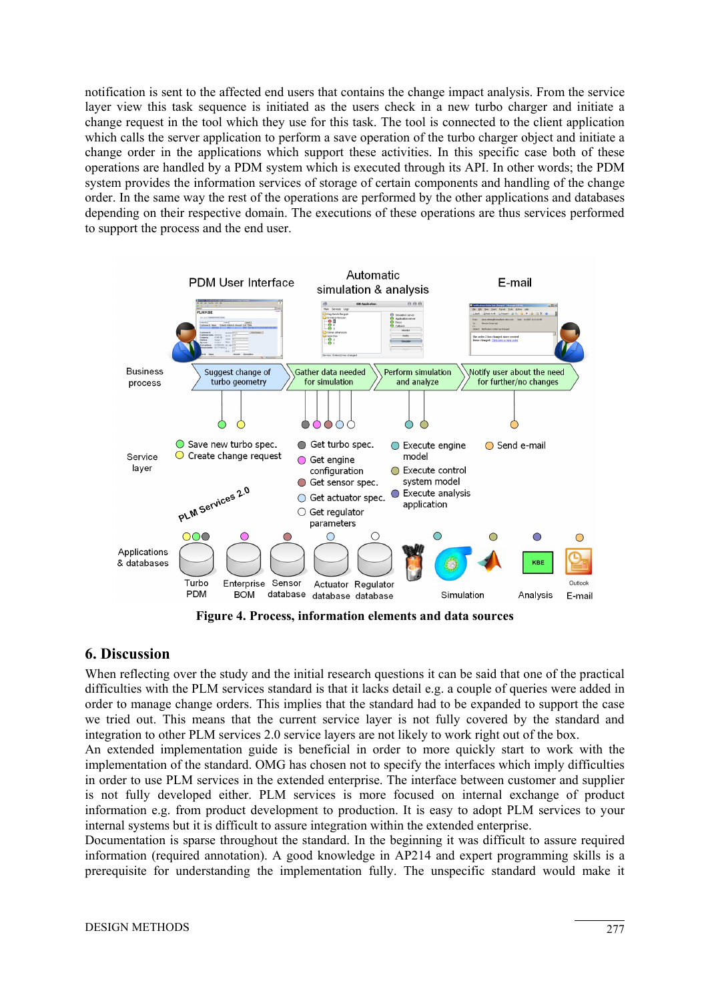notification is sent to the affected end users that contains the change impact analysis. From the service layer view this task sequence is initiated as the users check in a new turbo charger and initiate a change request in the tool which they use for this task. The tool is connected to the client application which calls the server application to perform a save operation of the turbo charger object and initiate a change order in the applications which support these activities. In this specific case both of these operations are handled by a PDM system which is executed through its API. In other words; the PDM system provides the information services of storage of certain components and handling of the change order. In the same way the rest of the operations are performed by the other applications and databases depending on their respective domain. The executions of these operations are thus services performed to support the process and the end user.



**Figure 4. Process, information elements and data sources** 

## **6. Discussion**

When reflecting over the study and the initial research questions it can be said that one of the practical difficulties with the PLM services standard is that it lacks detail e.g. a couple of queries were added in order to manage change orders. This implies that the standard had to be expanded to support the case we tried out. This means that the current service layer is not fully covered by the standard and integration to other PLM services 2.0 service layers are not likely to work right out of the box.

An extended implementation guide is beneficial in order to more quickly start to work with the implementation of the standard. OMG has chosen not to specify the interfaces which imply difficulties in order to use PLM services in the extended enterprise. The interface between customer and supplier is not fully developed either. PLM services is more focused on internal exchange of product information e.g. from product development to production. It is easy to adopt PLM services to your internal systems but it is difficult to assure integration within the extended enterprise.

Documentation is sparse throughout the standard. In the beginning it was difficult to assure required information (required annotation). A good knowledge in AP214 and expert programming skills is a prerequisite for understanding the implementation fully. The unspecific standard would make it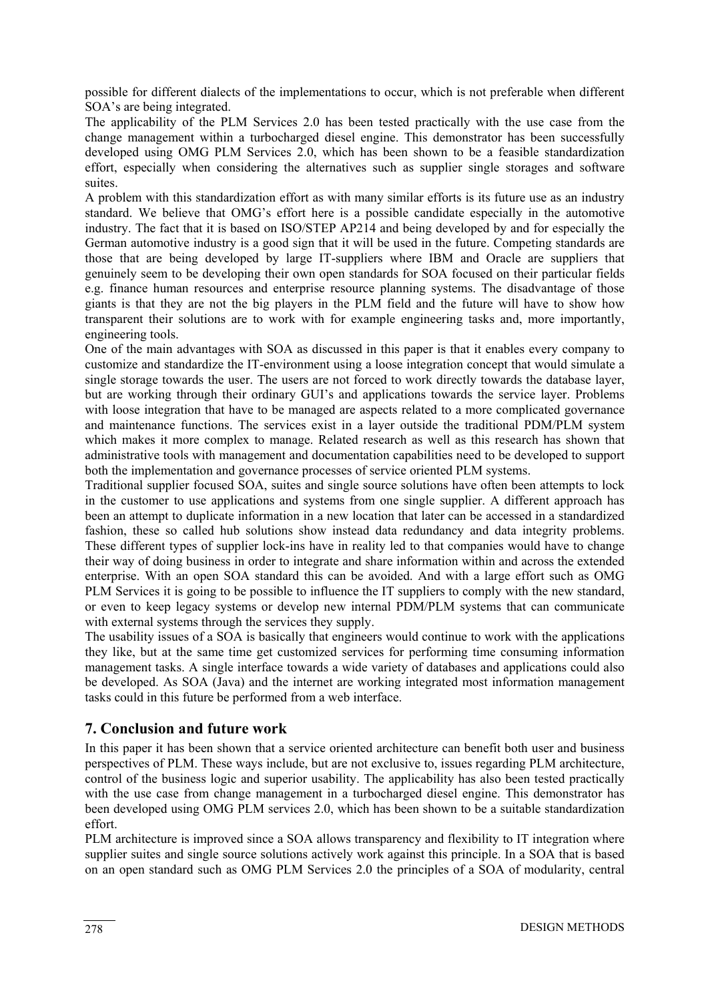possible for different dialects of the implementations to occur, which is not preferable when different SOA's are being integrated.

The applicability of the PLM Services 2.0 has been tested practically with the use case from the change management within a turbocharged diesel engine. This demonstrator has been successfully developed using OMG PLM Services 2.0, which has been shown to be a feasible standardization effort, especially when considering the alternatives such as supplier single storages and software suites.

A problem with this standardization effort as with many similar efforts is its future use as an industry standard. We believe that OMG's effort here is a possible candidate especially in the automotive industry. The fact that it is based on ISO/STEP AP214 and being developed by and for especially the German automotive industry is a good sign that it will be used in the future. Competing standards are those that are being developed by large IT-suppliers where IBM and Oracle are suppliers that genuinely seem to be developing their own open standards for SOA focused on their particular fields e.g. finance human resources and enterprise resource planning systems. The disadvantage of those giants is that they are not the big players in the PLM field and the future will have to show how transparent their solutions are to work with for example engineering tasks and, more importantly, engineering tools.

One of the main advantages with SOA as discussed in this paper is that it enables every company to customize and standardize the IT-environment using a loose integration concept that would simulate a single storage towards the user. The users are not forced to work directly towards the database layer, but are working through their ordinary GUI's and applications towards the service layer. Problems with loose integration that have to be managed are aspects related to a more complicated governance and maintenance functions. The services exist in a layer outside the traditional PDM/PLM system which makes it more complex to manage. Related research as well as this research has shown that administrative tools with management and documentation capabilities need to be developed to support both the implementation and governance processes of service oriented PLM systems.

Traditional supplier focused SOA, suites and single source solutions have often been attempts to lock in the customer to use applications and systems from one single supplier. A different approach has been an attempt to duplicate information in a new location that later can be accessed in a standardized fashion, these so called hub solutions show instead data redundancy and data integrity problems. These different types of supplier lock-ins have in reality led to that companies would have to change their way of doing business in order to integrate and share information within and across the extended enterprise. With an open SOA standard this can be avoided. And with a large effort such as OMG PLM Services it is going to be possible to influence the IT suppliers to comply with the new standard, or even to keep legacy systems or develop new internal PDM/PLM systems that can communicate with external systems through the services they supply.

The usability issues of a SOA is basically that engineers would continue to work with the applications they like, but at the same time get customized services for performing time consuming information management tasks. A single interface towards a wide variety of databases and applications could also be developed. As SOA (Java) and the internet are working integrated most information management tasks could in this future be performed from a web interface.

## **7. Conclusion and future work**

In this paper it has been shown that a service oriented architecture can benefit both user and business perspectives of PLM. These ways include, but are not exclusive to, issues regarding PLM architecture, control of the business logic and superior usability. The applicability has also been tested practically with the use case from change management in a turbocharged diesel engine. This demonstrator has been developed using OMG PLM services 2.0, which has been shown to be a suitable standardization effort.

PLM architecture is improved since a SOA allows transparency and flexibility to IT integration where supplier suites and single source solutions actively work against this principle. In a SOA that is based on an open standard such as OMG PLM Services 2.0 the principles of a SOA of modularity, central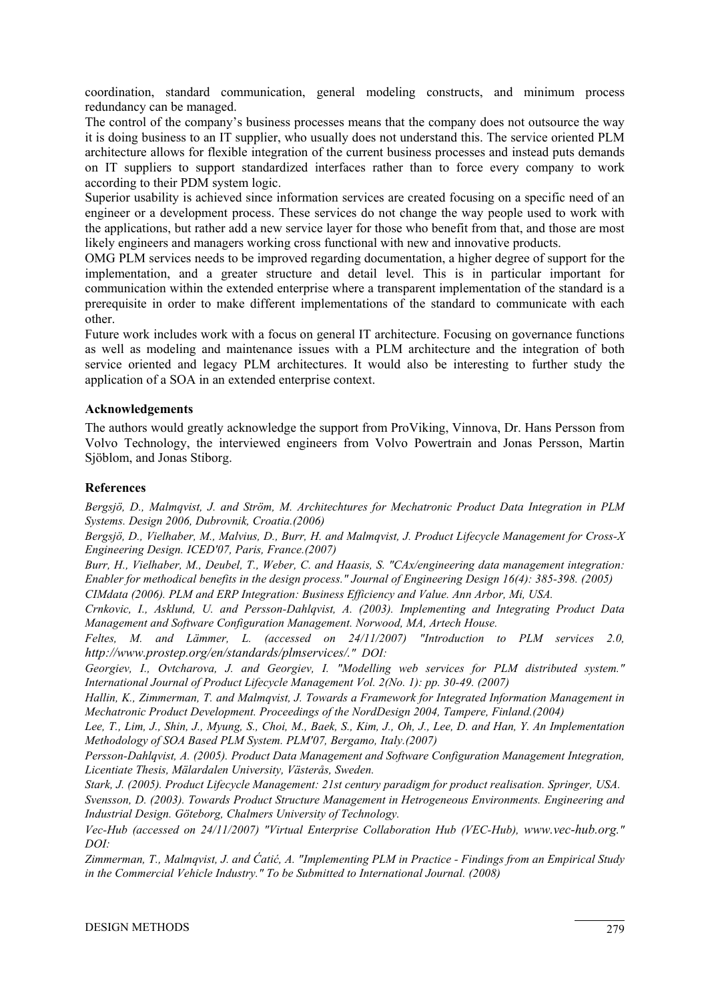coordination, standard communication, general modeling constructs, and minimum process redundancy can be managed.

The control of the company's business processes means that the company does not outsource the way it is doing business to an IT supplier, who usually does not understand this. The service oriented PLM architecture allows for flexible integration of the current business processes and instead puts demands on IT suppliers to support standardized interfaces rather than to force every company to work according to their PDM system logic.

Superior usability is achieved since information services are created focusing on a specific need of an engineer or a development process. These services do not change the way people used to work with the applications, but rather add a new service layer for those who benefit from that, and those are most likely engineers and managers working cross functional with new and innovative products.

OMG PLM services needs to be improved regarding documentation, a higher degree of support for the implementation, and a greater structure and detail level. This is in particular important for communication within the extended enterprise where a transparent implementation of the standard is a prerequisite in order to make different implementations of the standard to communicate with each other.

Future work includes work with a focus on general IT architecture. Focusing on governance functions as well as modeling and maintenance issues with a PLM architecture and the integration of both service oriented and legacy PLM architectures. It would also be interesting to further study the application of a SOA in an extended enterprise context.

#### **Acknowledgements**

The authors would greatly acknowledge the support from ProViking, Vinnova, Dr. Hans Persson from Volvo Technology, the interviewed engineers from Volvo Powertrain and Jonas Persson, Martin Sjöblom, and Jonas Stiborg.

#### **References**

*Bergsjö, D., Malmqvist, J. and Ström, M. Architechtures for Mechatronic Product Data Integration in PLM Systems. Design 2006, Dubrovnik, Croatia.(2006)* 

*Bergsjö, D., Vielhaber, M., Malvius, D., Burr, H. and Malmqvist, J. Product Lifecycle Management for Cross-X Engineering Design. ICED'07, Paris, France.(2007)* 

*Burr, H., Vielhaber, M., Deubel, T., Weber, C. and Haasis, S. "CAx/engineering data management integration: Enabler for methodical benefits in the design process." Journal of Engineering Design 16(4): 385-398. (2005)* 

*CIMdata (2006). PLM and ERP Integration: Business Efficiency and Value. Ann Arbor, Mi, USA.* 

*Crnkovic, I., Asklund, U. and Persson-Dahlqvist, A. (2003). Implementing and Integrating Product Data Management and Software Configuration Management. Norwood, MA, Artech House.* 

*Feltes, M. and Lämmer, L. (accessed on 24/11/2007) "Introduction to PLM services 2.0, http://www.prostep.org/en/standards/plmservices/." DOI:* 

*Georgiev, I., Ovtcharova, J. and Georgiev, I. "Modelling web services for PLM distributed system." International Journal of Product Lifecycle Management Vol. 2(No. 1): pp. 30-49. (2007)* 

*Hallin, K., Zimmerman, T. and Malmqvist, J. Towards a Framework for Integrated Information Management in Mechatronic Product Development. Proceedings of the NordDesign 2004, Tampere, Finland.(2004)* 

*Lee, T., Lim, J., Shin, J., Myung, S., Choi, M., Baek, S., Kim, J., Oh, J., Lee, D. and Han, Y. An Implementation Methodology of SOA Based PLM System. PLM'07, Bergamo, Italy.(2007)* 

*Persson-Dahlqvist, A. (2005). Product Data Management and Software Configuration Management Integration, Licentiate Thesis, Mälardalen University, Västerås, Sweden.* 

*Stark, J. (2005). Product Lifecycle Management: 21st century paradigm for product realisation. Springer, USA. Svensson, D. (2003). Towards Product Structure Management in Hetrogeneous Environments. Engineering and Industrial Design. Göteborg, Chalmers University of Technology.* 

*Vec-Hub (accessed on 24/11/2007) "Virtual Enterprise Collaboration Hub (VEC-Hub), www.vec-hub.org." DOI:* 

*Zimmerman, T., Malmqvist, J. and Ćatić, A. "Implementing PLM in Practice - Findings from an Empirical Study in the Commercial Vehicle Industry." To be Submitted to International Journal. (2008)*